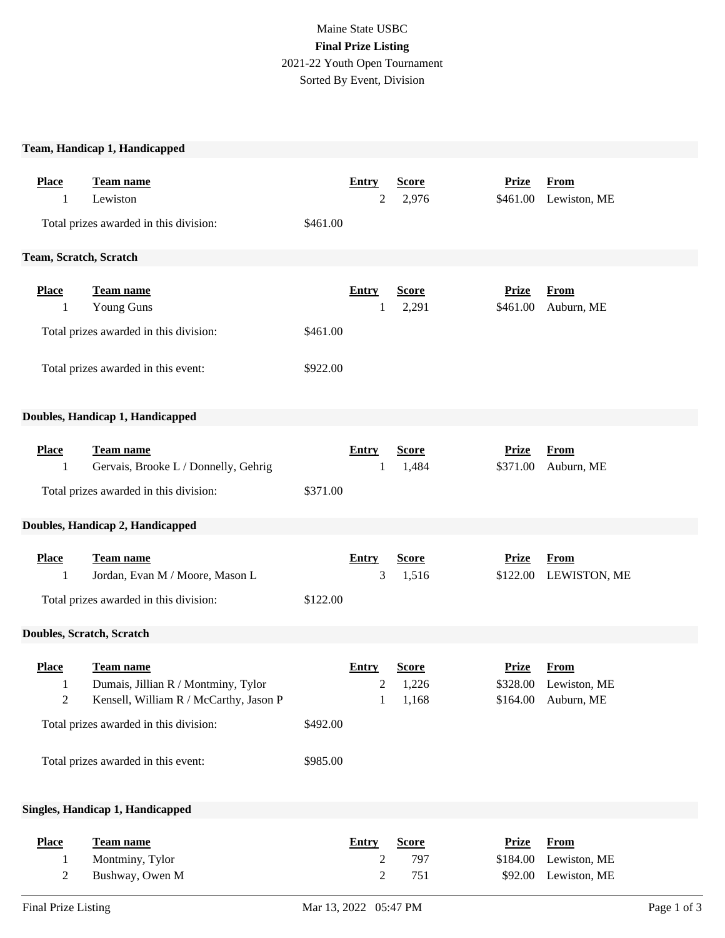## Maine State USBC **Final Prize Listing** 2021-22 Youth Open Tournament Sorted By Event, Division

## **Team, Handicap 1, Handicapped**

| <b>Place</b><br>1                   | <b>Team name</b><br>Lewiston                                                                                                         |          | <b>Entry</b><br>2                              | <b>Score</b><br>2,976          | <b>Prize</b><br>\$461.00 | <b>From</b><br>Lewiston, ME                        |             |
|-------------------------------------|--------------------------------------------------------------------------------------------------------------------------------------|----------|------------------------------------------------|--------------------------------|--------------------------|----------------------------------------------------|-------------|
|                                     | Total prizes awarded in this division:                                                                                               | \$461.00 |                                                |                                |                          |                                                    |             |
| Team, Scratch, Scratch              |                                                                                                                                      |          |                                                |                                |                          |                                                    |             |
| <b>Place</b><br>1                   | Team name<br>Young Guns                                                                                                              |          | <b>Entry</b><br>1                              | <b>Score</b><br>2,291          | <b>Prize</b><br>\$461.00 | <b>From</b><br>Auburn, ME                          |             |
|                                     | Total prizes awarded in this division:                                                                                               | \$461.00 |                                                |                                |                          |                                                    |             |
|                                     | Total prizes awarded in this event:                                                                                                  | \$922.00 |                                                |                                |                          |                                                    |             |
|                                     | Doubles, Handicap 1, Handicapped                                                                                                     |          |                                                |                                |                          |                                                    |             |
| <b>Place</b><br>1                   | <b>Team name</b><br>Gervais, Brooke L / Donnelly, Gehrig<br>Total prizes awarded in this division:                                   | \$371.00 | <b>Entry</b><br>1                              | <b>Score</b><br>1,484          | <b>Prize</b><br>\$371.00 | <b>From</b><br>Auburn, ME                          |             |
| Doubles, Handicap 2, Handicapped    |                                                                                                                                      |          |                                                |                                |                          |                                                    |             |
| <b>Place</b><br>1                   | <b>Team name</b><br>Jordan, Evan M / Moore, Mason L                                                                                  |          | <b>Entry</b><br>3                              | <b>Score</b><br>1,516          | <b>Prize</b><br>\$122.00 | <b>From</b><br>LEWISTON, ME                        |             |
|                                     | Total prizes awarded in this division:                                                                                               | \$122.00 |                                                |                                |                          |                                                    |             |
|                                     | Doubles, Scratch, Scratch                                                                                                            |          |                                                |                                |                          |                                                    |             |
| <b>Place</b><br>1<br>$\overline{c}$ | Team name<br>Dumais, Jillian R / Montminy, Tylor<br>Kensell, William R / McCarthy, Jason P<br>Total prizes awarded in this division: | \$492.00 | <b>Entry</b><br>$\overline{c}$<br>$\mathbf{1}$ | <b>Score</b><br>1,226<br>1,168 | <b>Prize</b><br>\$328.00 | <b>From</b><br>Lewiston, ME<br>\$164.00 Auburn, ME |             |
| Total prizes awarded in this event: |                                                                                                                                      | \$985.00 |                                                |                                |                          |                                                    |             |
|                                     |                                                                                                                                      |          |                                                |                                |                          |                                                    |             |
|                                     | Singles, Handicap 1, Handicapped                                                                                                     |          |                                                |                                |                          |                                                    |             |
| <b>Place</b>                        | <b>Team name</b>                                                                                                                     |          | <b>Entry</b>                                   | <b>Score</b>                   | <b>Prize</b>             | <b>From</b>                                        |             |
| 1                                   | Montminy, Tylor                                                                                                                      |          | 2                                              | 797                            | \$184.00                 | Lewiston, ME                                       |             |
| $\overline{c}$                      | Bushway, Owen M                                                                                                                      |          | 2                                              | 751                            | \$92.00                  | Lewiston, ME                                       |             |
| <b>Final Prize Listing</b>          |                                                                                                                                      |          | Mar 13, 2022 05:47 PM                          |                                |                          |                                                    | Page 1 of 3 |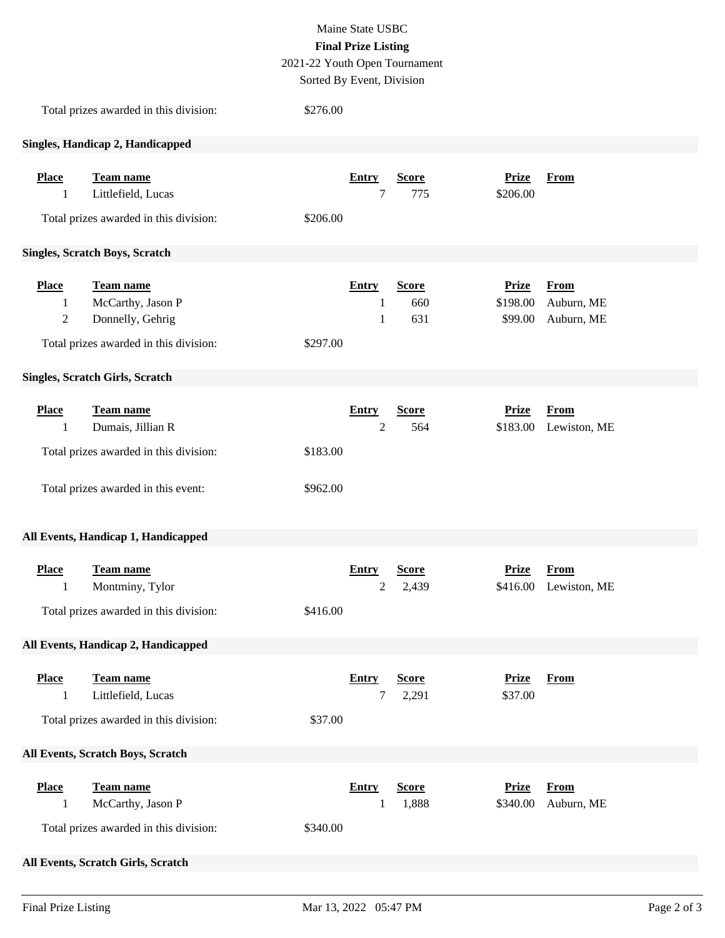|              |                                        |                               | Maine State USBC           |              |              |              |  |
|--------------|----------------------------------------|-------------------------------|----------------------------|--------------|--------------|--------------|--|
|              |                                        |                               | <b>Final Prize Listing</b> |              |              |              |  |
|              |                                        | 2021-22 Youth Open Tournament |                            |              |              |              |  |
|              |                                        | Sorted By Event, Division     |                            |              |              |              |  |
|              | Total prizes awarded in this division: | \$276.00                      |                            |              |              |              |  |
|              | Singles, Handicap 2, Handicapped       |                               |                            |              |              |              |  |
| <b>Place</b> | Team name                              |                               | <b>Entry</b>               | <b>Score</b> | <b>Prize</b> | <b>From</b>  |  |
| 1            | Littlefield, Lucas                     |                               | $\tau$                     | 775          | \$206.00     |              |  |
|              | Total prizes awarded in this division: | \$206.00                      |                            |              |              |              |  |
|              | <b>Singles, Scratch Boys, Scratch</b>  |                               |                            |              |              |              |  |
| <b>Place</b> | Team name                              |                               | <b>Entry</b>               | <b>Score</b> | <b>Prize</b> | <b>From</b>  |  |
| 1            | McCarthy, Jason P                      |                               | 1                          | 660          | \$198.00     | Auburn, ME   |  |
| $\sqrt{2}$   | Donnelly, Gehrig                       |                               | $\mathbf{1}$               | 631          | \$99.00      | Auburn, ME   |  |
|              | Total prizes awarded in this division: | \$297.00                      |                            |              |              |              |  |
|              | <b>Singles, Scratch Girls, Scratch</b> |                               |                            |              |              |              |  |
| <b>Place</b> | Team name                              |                               | <b>Entry</b>               | <b>Score</b> | <b>Prize</b> | <b>From</b>  |  |
| 1            | Dumais, Jillian R                      |                               | $\overline{2}$             | 564          | \$183.00     | Lewiston, ME |  |
|              | Total prizes awarded in this division: | \$183.00                      |                            |              |              |              |  |
|              |                                        |                               |                            |              |              |              |  |
|              | Total prizes awarded in this event:    | \$962.00                      |                            |              |              |              |  |
|              | All Events, Handicap 1, Handicapped    |                               |                            |              |              |              |  |
| <b>Place</b> | <b>Team name</b>                       |                               | <b>Entry</b>               | <b>Score</b> | <b>Prize</b> | <b>From</b>  |  |
| 1            | Montminy, Tylor                        |                               | $\overline{2}$             | 2,439        | \$416.00     | Lewiston, ME |  |
|              | Total prizes awarded in this division: | \$416.00                      |                            |              |              |              |  |
|              |                                        |                               |                            |              |              |              |  |
|              | All Events, Handicap 2, Handicapped    |                               |                            |              |              |              |  |
| <b>Place</b> | Team name                              |                               | <b>Entry</b>               | <b>Score</b> | <b>Prize</b> | <b>From</b>  |  |
| 1            | Littlefield, Lucas                     |                               | 7                          | 2,291        | \$37.00      |              |  |
|              | Total prizes awarded in this division: | \$37.00                       |                            |              |              |              |  |
|              | All Events, Scratch Boys, Scratch      |                               |                            |              |              |              |  |
| <b>Place</b> | Team name                              |                               | <b>Entry</b>               | <b>Score</b> | <b>Prize</b> | <b>From</b>  |  |
| 1            | McCarthy, Jason P                      |                               | 1                          | 1,888        | \$340.00     | Auburn, ME   |  |
|              | Total prizes awarded in this division: | \$340.00                      |                            |              |              |              |  |

## **All Events, Scratch Girls, Scratch**

**Place Team name Entry Score Prize From**